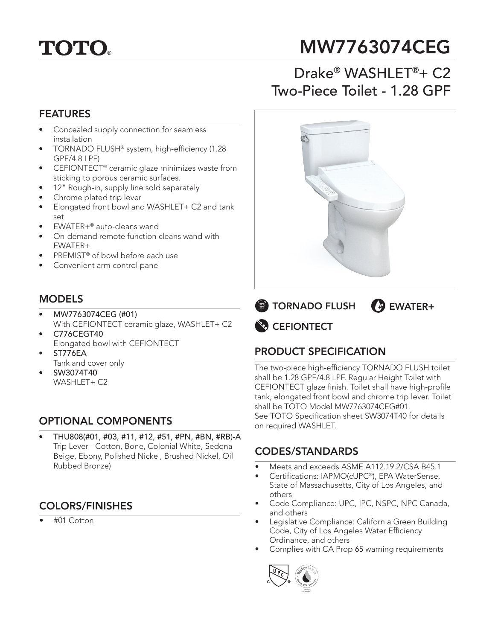# **TOTO.**

## MW7763074CEG

## Drake® WASHLET®+ C2 Two-Piece Toilet - 1.28 GPF

### FEATURES

- Concealed supply connection for seamless installation
- TORNADO FLUSH® system, high-efficiency (1.28 GPF/4.8 LPF)
- CEFIONTECT® ceramic glaze minimizes waste from sticking to porous ceramic surfaces.
- 12" Rough-in, supply line sold separately
- Chrome plated trip lever
- Elongated front bowl and WASHLET+ C2 and tank set
- EWATER+® auto-cleans wand
- On-demand remote function cleans wand with EWATER+
- PREMIST® of bowl before each use
- Convenient arm control panel

#### **MODELS**

- MW7763074CEG (#01) With CEFIONTECT ceramic glaze, WASHLET+ C2
- C776CEGT40 Elongated bowl with CEFIONTECT
- ST776EA
- Tank and cover only
- SW3074T40 WASHLET+ C2

## OPTIONAL COMPONENTS

• THU808(#01, #03, #11, #12, #51, #PN, #BN, #RB)-A Trip Lever - Cotton, Bone, Colonial White, Sedona Beige, Ebony, Polished Nickel, Brushed Nickel, Oil Rubbed Bronze)

## COLORS/FINISHES

• #01 Cotton



**CEFIONTECT EXTORNADO FLUSH (+) EWATER+** 

## PRODUCT SPECIFICATION

The two-piece high-efficiency TORNADO FLUSH toilet shall be 1.28 GPF/4.8 LPF. Regular Height Toilet with CEFIONTECT glaze finish. Toilet shall have high-profile tank, elongated front bowl and chrome trip lever. Toilet shall be TOTO Model MW7763074CEG#01. See TOTO Specification sheet SW3074T40 for details on required WASHLET.

#### CODES/STANDARDS

- Meets and exceeds ASME A112.19.2/CSA B45.1
- Certifications: IAPMO(cUPC®), EPA WaterSense, State of Massachusetts, City of Los Angeles, and others
- Code Compliance: UPC, IPC, NSPC, NPC Canada, and others
- Legislative Compliance: California Green Building Code, City of Los Angeles Water Efficiency Ordinance, and others
- Complies with CA Prop 65 warning requirements